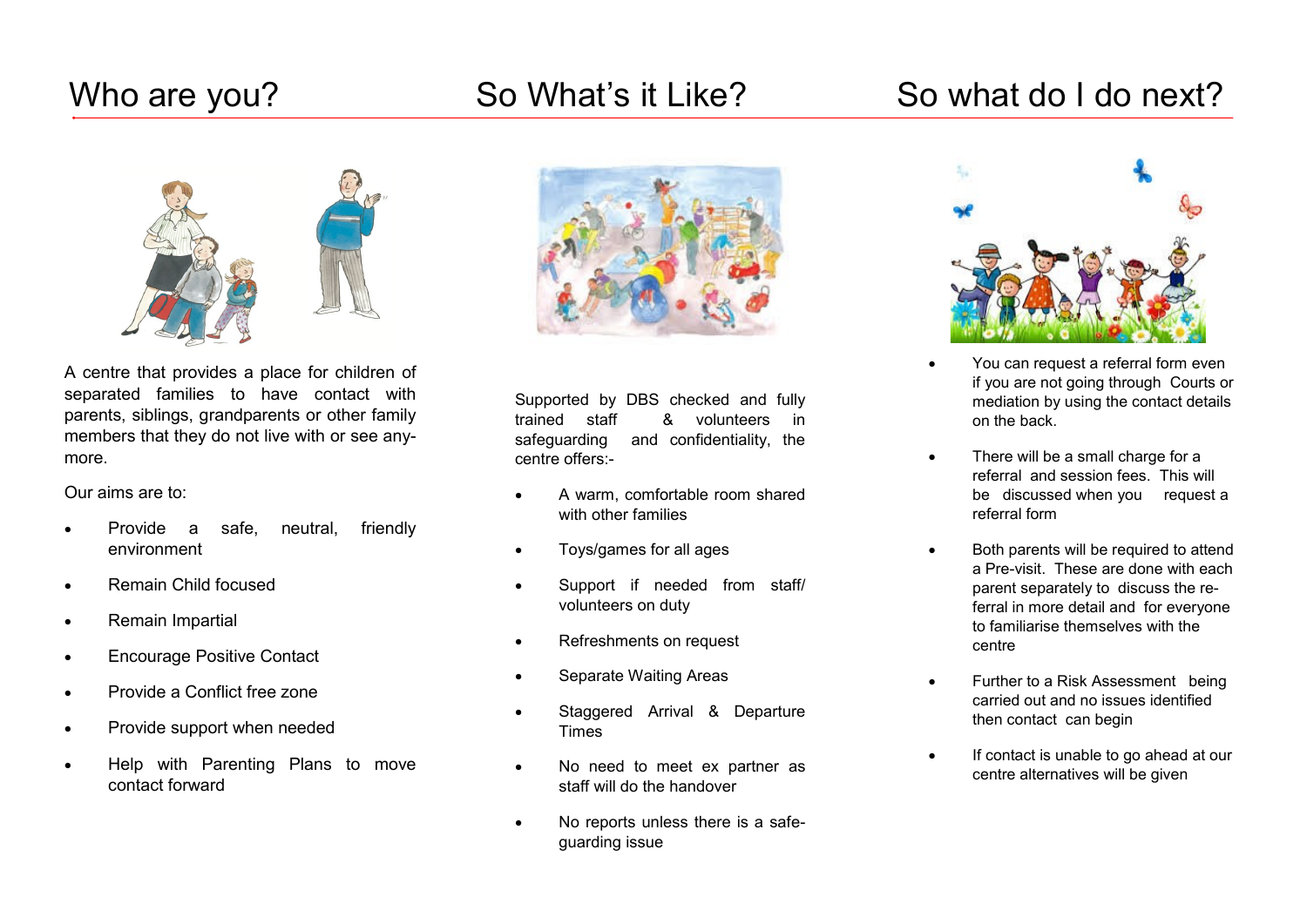## Who are you? So What's it Like? So what do I do next?





A centre that provides a place for children of separated families to have contact with parents, siblings, grandparents or other family members that they do not live with or see anymore.

Our aims are to:

- Provide a safe, neutral, friendly environment
- Remain Child focused
- Remain Impartial
- Encourage Positive Contact
- Provide a Conflict free zone
- Provide support when needed
- Help with Parenting Plans to move contact forward



Supported by DBS checked and fully trained staff & volunteers in safeguarding and confidentiality, the centre offers:-

- A warm, comfortable room shared with other families
- Toys/games for all ages
- Support if needed from staff/ volunteers on duty
- Refreshments on request
- Separate Waiting Areas
- Staggered Arrival & Departure Times
- No need to meet ex partner as staff will do the handover
- No reports unless there is a safeguarding issue



- You can request a referral form even if you are not going through Courts or mediation by using the contact details on the back.
- There will be a small charge for a referral and session fees. This will be discussed when you request a referral form
- Both parents will be required to attend a Pre-visit. These are done with each parent separately to discuss the referral in more detail and for everyone to familiarise themselves with the centre
- Further to a Risk Assessment being carried out and no issues identified then contact can begin
- If contact is unable to go ahead at our centre alternatives will be given